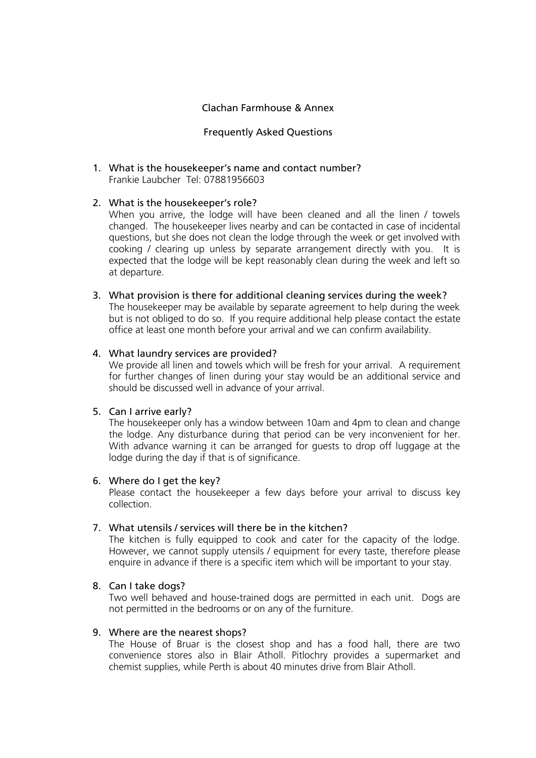### Clachan Farmhouse & Annex

### Frequently Asked Questions

1. What is the housekeeper's name and contact number? Frankie Laubcher Tel: 07881956603

### 2. What is the housekeeper's role?

When you arrive, the lodge will have been cleaned and all the linen / towels changed. The housekeeper lives nearby and can be contacted in case of incidental questions, but she does not clean the lodge through the week or get involved with cooking / clearing up unless by separate arrangement directly with you. It is expected that the lodge will be kept reasonably clean during the week and left so at departure.

3. What provision is there for additional cleaning services during the week? The housekeeper may be available by separate agreement to help during the week but is not obliged to do so. If you require additional help please contact the estate

office at least one month before your arrival and we can confirm availability.

### 4. What laundry services are provided?

We provide all linen and towels which will be fresh for your arrival. A requirement for further changes of linen during your stay would be an additional service and should be discussed well in advance of your arrival.

#### 5. Can I arrive early?

The housekeeper only has a window between 10am and 4pm to clean and change the lodge. Any disturbance during that period can be very inconvenient for her. With advance warning it can be arranged for guests to drop off luggage at the lodge during the day if that is of significance.

#### 6. Where do I get the key?

Please contact the housekeeper a few days before your arrival to discuss key collection.

#### 7. What utensils / services will there be in the kitchen?

The kitchen is fully equipped to cook and cater for the capacity of the lodge. However, we cannot supply utensils / equipment for every taste, therefore please enquire in advance if there is a specific item which will be important to your stay.

# 8. Can I take dogs?

Two well behaved and house-trained dogs are permitted in each unit. Dogs are not permitted in the bedrooms or on any of the furniture.

#### 9. Where are the nearest shops?

The House of Bruar is the closest shop and has a food hall, there are two convenience stores also in Blair Atholl. Pitlochry provides a supermarket and chemist supplies, while Perth is about 40 minutes drive from Blair Atholl.